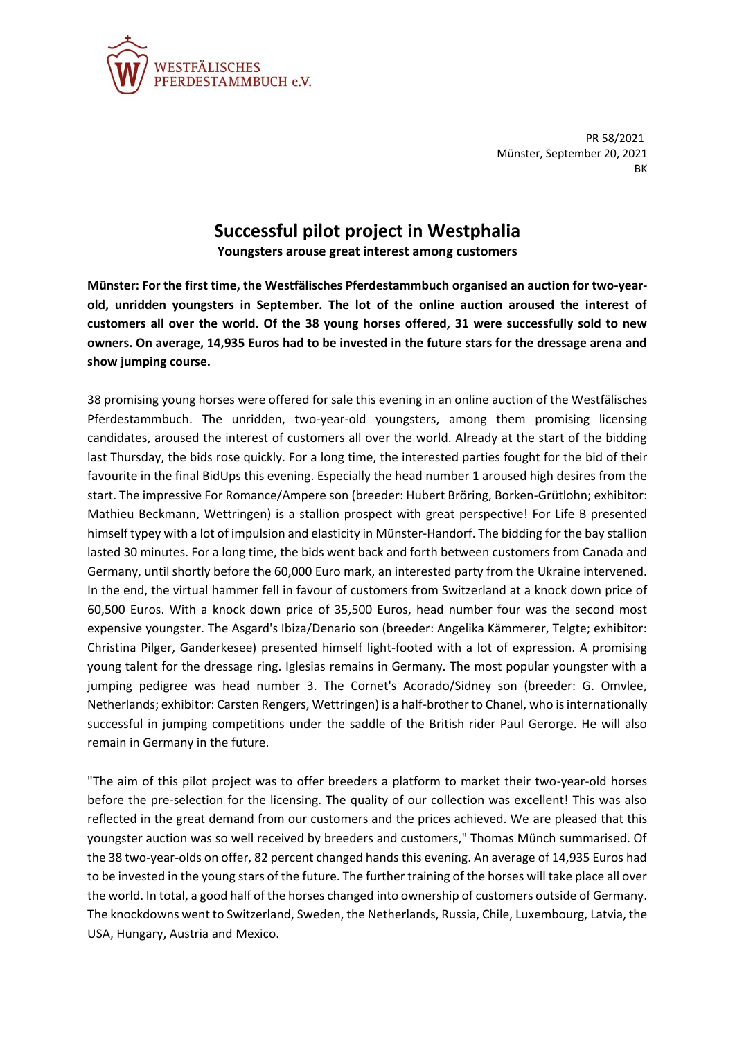

PR 58/2021 Münster, September 20, 2021 BK

## **Successful pilot project in Westphalia**

**Youngsters arouse great interest among customers**

**Münster: For the first time, the Westfälisches Pferdestammbuch organised an auction for two-yearold, unridden youngsters in September. The lot of the online auction aroused the interest of customers all over the world. Of the 38 young horses offered, 31 were successfully sold to new owners. On average, 14,935 Euros had to be invested in the future stars for the dressage arena and show jumping course.**

38 promising young horses were offered for sale this evening in an online auction of the Westfälisches Pferdestammbuch. The unridden, two-year-old youngsters, among them promising licensing candidates, aroused the interest of customers all over the world. Already at the start of the bidding last Thursday, the bids rose quickly. For a long time, the interested parties fought for the bid of their favourite in the final BidUps this evening. Especially the head number 1 aroused high desires from the start. The impressive For Romance/Ampere son (breeder: Hubert Bröring, Borken-Grütlohn; exhibitor: Mathieu Beckmann, Wettringen) is a stallion prospect with great perspective! For Life B presented himself typey with a lot of impulsion and elasticity in Münster-Handorf. The bidding for the bay stallion lasted 30 minutes. For a long time, the bids went back and forth between customers from Canada and Germany, until shortly before the 60,000 Euro mark, an interested party from the Ukraine intervened. In the end, the virtual hammer fell in favour of customers from Switzerland at a knock down price of 60,500 Euros. With a knock down price of 35,500 Euros, head number four was the second most expensive youngster. The Asgard's Ibiza/Denario son (breeder: Angelika Kämmerer, Telgte; exhibitor: Christina Pilger, Ganderkesee) presented himself light-footed with a lot of expression. A promising young talent for the dressage ring. Iglesias remains in Germany. The most popular youngster with a jumping pedigree was head number 3. The Cornet's Acorado/Sidney son (breeder: G. Omvlee, Netherlands; exhibitor: Carsten Rengers, Wettringen) is a half-brother to Chanel, who is internationally successful in jumping competitions under the saddle of the British rider Paul Gerorge. He will also remain in Germany in the future.

"The aim of this pilot project was to offer breeders a platform to market their two-year-old horses before the pre-selection for the licensing. The quality of our collection was excellent! This was also reflected in the great demand from our customers and the prices achieved. We are pleased that this youngster auction was so well received by breeders and customers," Thomas Münch summarised. Of the 38 two-year-olds on offer, 82 percent changed hands this evening. An average of 14,935 Euros had to be invested in the young stars of the future. The further training of the horses will take place all over the world. In total, a good half of the horses changed into ownership of customers outside of Germany. The knockdowns went to Switzerland, Sweden, the Netherlands, Russia, Chile, Luxembourg, Latvia, the USA, Hungary, Austria and Mexico.